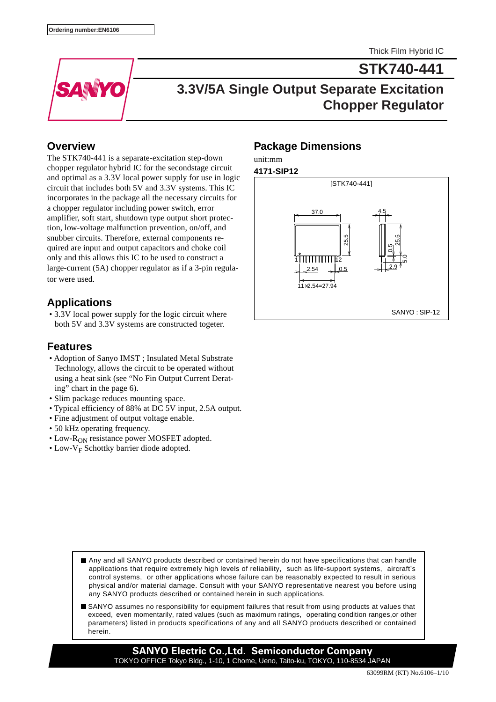**STK740-441**



# **3.3V/5A Single Output Separate Excitation Chopper Regulator**

### **Overview**

The STK740-441 is a separate-excitation step-down chopper regulator hybrid IC for the secondstage circuit and optimal as a 3.3V local power supply for use in logic circuit that includes both 5V and 3.3V systems. This IC incorporates in the package all the necessary circuits for a chopper regulator including power switch, error amplifier, soft start, shutdown type output short protection, low-voltage malfunction prevention, on/off, and snubber circuits. Therefore, external components required are input and output capacitors and choke coil only and this allows this IC to be used to construct a large-current (5A) chopper regulator as if a 3-pin regulator were used.

### **Applications**

 • 3.3V local power supply for the logic circuit where both 5V and 3.3V systems are constructed togeter.

### **Features**

- Adoption of Sanyo IMST ; Insulated Metal Substrate Technology, allows the circuit to be operated without using a heat sink (see "No Fin Output Current Derating" chart in the page 6).
- Slim package reduces mounting space.
- Typical efficiency of 88% at DC 5V input, 2.5A output.
- Fine adjustment of output voltage enable.
- 50 kHz operating frequency.
- Low-R<sub>ON</sub> resistance power MOSFET adopted.
- Low- $V_F$  Schottky barrier diode adopted.

### **Package Dimensions**

## unit:mm



- Any and all SANYO products described or contained herein do not have specifications that can handle applications that require extremely high levels of reliability, such as life-support systems, aircraft's control systems, or other applications whose failure can be reasonably expected to result in serious physical and/or material damage. Consult with your SANYO representative nearest you before using any SANYO products described or contained herein in such applications.
- SANYO assumes no responsibility for equipment failures that result from using products at values that exceed, even momentarily, rated values (such as maximum ratings, operating condition ranges,or other parameters) listed in products specifications of any and all SANYO products described or contained herein.

**SANYO Electric Co.,Ltd. Semiconductor Company** TOKYO OFFICE Tokyo Bldg., 1-10, 1 Chome, Ueno, Taito-ku, TOKYO, 110-8534 JAPAN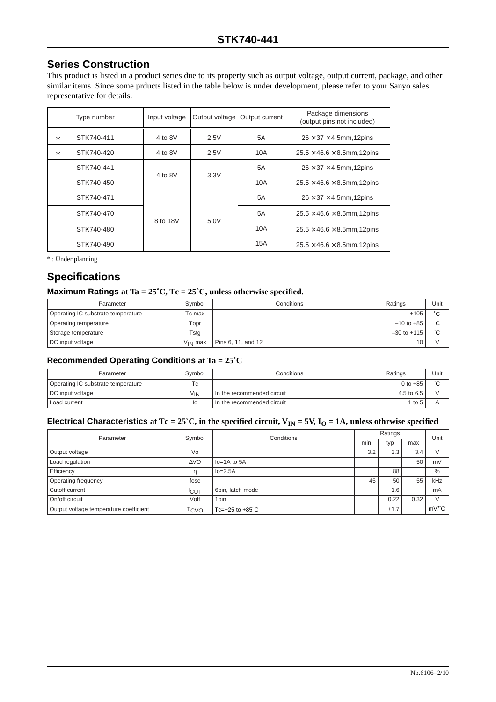### **Series Construction**

This product is listed in a product series due to its property such as output voltage, output current, package, and other similar items. Since some prducts listed in the table below is under development, please refer to your Sanyo sales representative for details.

|   | Type number | Input voltage | Output voltage | Output current | Package dimensions<br>(output pins not included) |
|---|-------------|---------------|----------------|----------------|--------------------------------------------------|
| * | STK740-411  | 4 to $8V$     | 2.5V           | 5A             | $26 \times 37 \times 4.5$ mm, 12 pins            |
| * | STK740-420  | 4 to $8V$     | 2.5V           | 10A            | $25.5 \times 46.6 \times 8.5$ mm, 12pins         |
|   | STK740-441  | 4 to $8V$     | 3.3V           | 5A             | $26 \times 37 \times 4.5$ mm, 12pins             |
|   | STK740-450  |               |                | 10A            | $25.5 \times 46.6 \times 8.5$ mm, 12pins         |
|   | STK740-471  |               |                | 5A             | $26 \times 37 \times 4.5$ mm,12pins              |
|   | STK740-470  |               |                | 5A             | $25.5 \times 46.6 \times 8.5$ mm, 12pins         |
|   | STK740-480  | 8 to 18V      | 5.0V           | 10A            | $25.5 \times 46.6 \times 8.5$ mm, 12pins         |
|   | STK740-490  |               |                | 15A            | $25.5 \times 46.6 \times 8.5$ mm, 12pins         |

\* : Under planning

### **Specifications**

#### **Maximum Ratings at Ta = 25˚C, Tc = 25˚C, unless otherwise specified.**

| Parameter                          | Symbol       | Conditions         | Ratings         | Unit      |
|------------------------------------|--------------|--------------------|-----------------|-----------|
| Operating IC substrate temperature | Tc max       |                    | $+105$          | $\hat{ }$ |
| Operating temperature              | Topr         |                    | $-10$ to $+85$  | $\sim$    |
| Storage temperature                | Tsta         |                    | $-30$ to $+115$ | $\sim$    |
| DC input voltage                   | $V_{IN}$ max | Pins 6, 11, and 12 | 10              |           |

#### **Recommended Operating Conditions at Ta = 25˚C**

| Conditions<br>Symbol<br>Parameter  |          |                              | Ratings    | Unit   |
|------------------------------------|----------|------------------------------|------------|--------|
| Operating IC substrate temperature | Tс       |                              | 0 to $+85$ | $\sim$ |
| DC input voltage                   | $V_{IN}$ | I In the recommended circuit | 4.5 to 6.5 |        |
| Load current                       | lo       | In the recommended circuit   | 1 to 5     |        |

#### **Electrical Characteristics at Tc = 25°C, in the specified circuit,**  $V_{IN} = 5V$ **,**  $I_0 = 1A$ **, unless othrwise specified**

| Parameter                                                  | Symbol      | Conditions                  |                | Ratings |      |               |
|------------------------------------------------------------|-------------|-----------------------------|----------------|---------|------|---------------|
|                                                            |             |                             | $\cdot$<br>min | typ     | max  | Unit          |
| Output voltage                                             | Vo          |                             | 3.2            | 3.3     | 3.4  | $\sqrt{}$     |
| Load regulation                                            | $\Delta$ VO | $Io=1A$ to $5A$             |                |         | 50   | mV            |
| Efficiency                                                 | m           | $Io=2.5A$                   |                | 88      |      | $\%$          |
| Operating frequency                                        | fosc        |                             | 45             | 50      | 55   | kHz           |
| Cutoff current                                             | <b>ICUT</b> | 6pin, latch mode            |                | 1.6     |      | mA            |
| On/off circuit<br>Voff                                     |             | 1 <sub>pin</sub>            |                | 0.22    | 0.32 | $\mathcal{U}$ |
| Output voltage temperature coefficient<br><sup>T</sup> CVO |             | $Tc=+25$ to $+85^{\circ}$ C |                | ±1.7    |      | $mV^{\circ}C$ |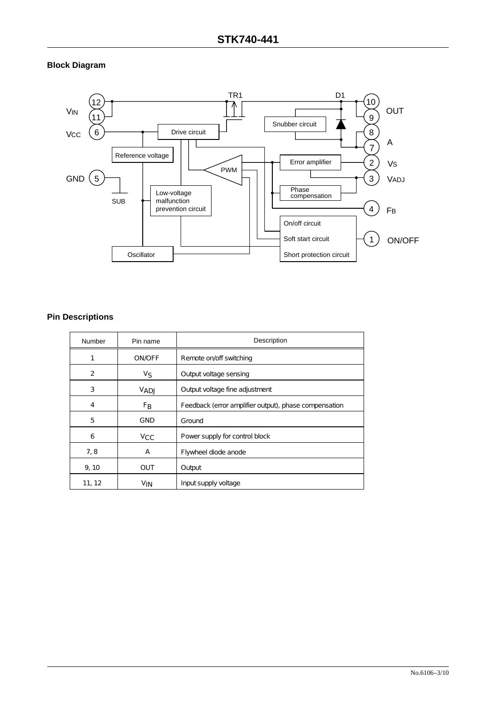#### **Block Diagram**



#### **Pin Descriptions**

| Number | Pin name       | Description                                           |  |
|--------|----------------|-------------------------------------------------------|--|
|        | <b>ON/OFF</b>  | Remote on/off switching                               |  |
| 2      | ν <sub>S</sub> | Output voltage sensing                                |  |
| 3      | VADJ           | Output voltage fine adjustment                        |  |
| 4      | F <sub>B</sub> | Feedback (error amplifier output), phase compensation |  |
| 5      | GND            | <b>Ground</b>                                         |  |
| 6      | $v_{\rm CC}$   | Power supply for control block                        |  |
| 7, 8   | А              | Flywheel diode anode                                  |  |
| 9, 10  | <b>OUT</b>     | Output                                                |  |
| 11, 12 | $V_{IN}$       | Input supply voltage                                  |  |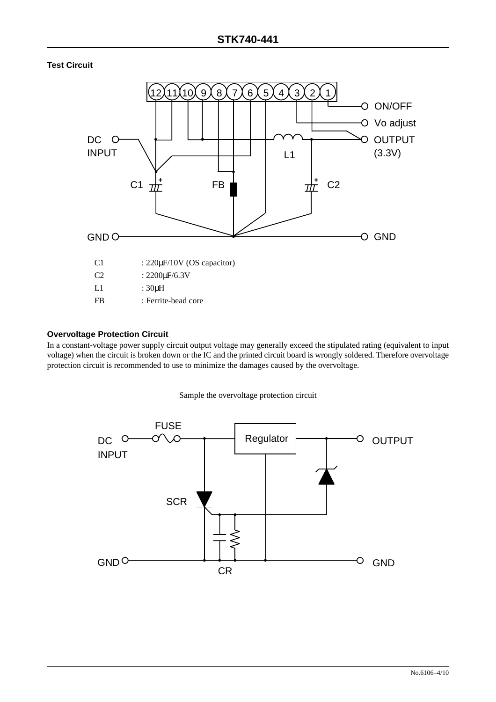**Test Circuit**



#### **Overvoltage Protection Circuit**

In a constant-voltage power supply circuit output voltage may generally exceed the stipulated rating (equivalent to input voltage) when the circuit is broken down or the IC and the printed circuit board is wrongly soldered. Therefore overvoltage protection circuit is recommended to use to minimize the damages caused by the overvoltage.

Sample the overvoltage protection circuit

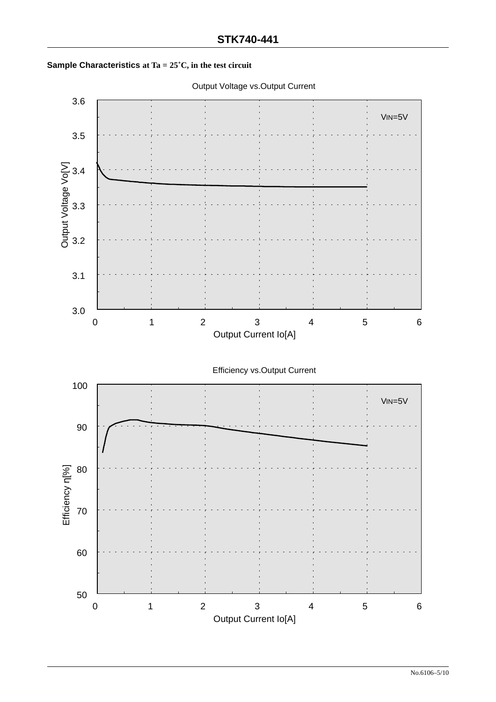

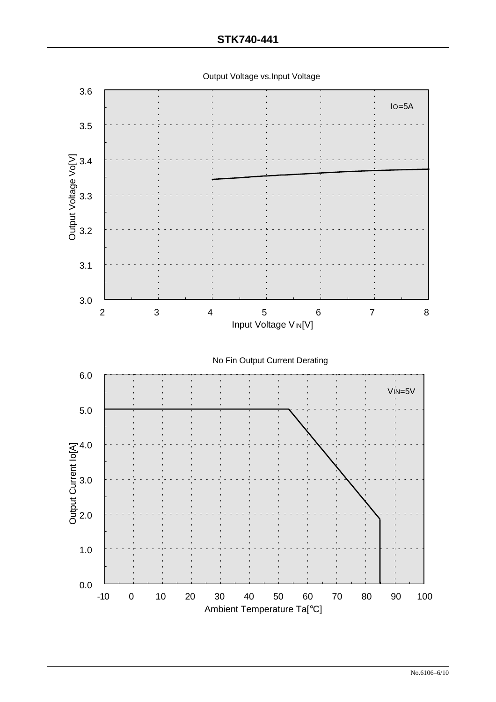Output Voltage vs.Input Voltage

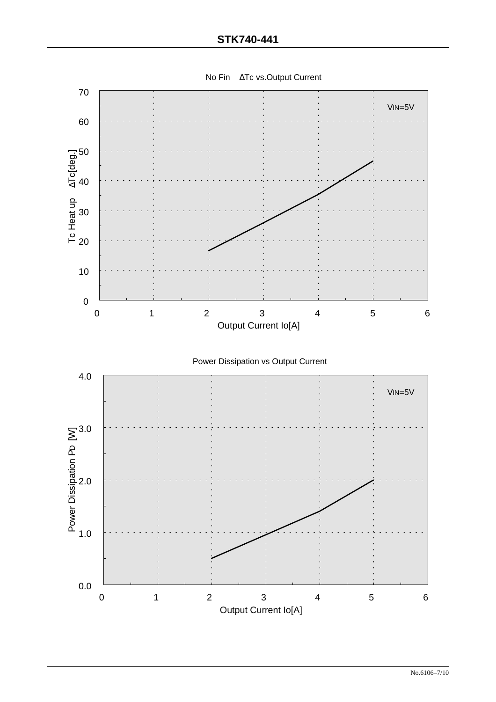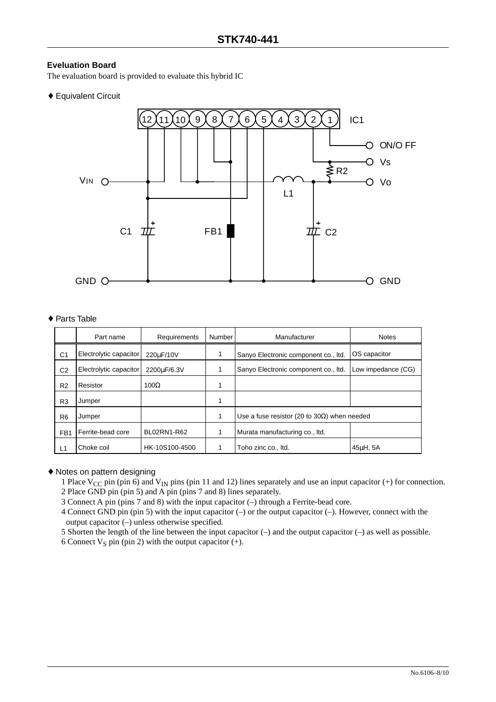#### **Eveluation Board**

The evaluation board is provided to evaluate this hybrid IC

♦ Equivalent Circuit



#### ♦ Parts Table

|                 | Part name              | Requirements   | Number | Manufacturer                                         | <b>Notes</b>       |
|-----------------|------------------------|----------------|--------|------------------------------------------------------|--------------------|
| C <sub>1</sub>  | Electrolytic capacitor | 220uF/10V      |        | Sanyo Electronic component co., Itd.                 | OS capacitor       |
| C <sub>2</sub>  | Electrolytic capacitor | 2200uF/6.3V    |        | Sanyo Electronic component co., Itd.                 | Low impedance (CG) |
| R <sub>2</sub>  | Resistor               | $100\Omega$    |        |                                                      |                    |
| R <sub>3</sub>  | Jumper                 |                | 1      |                                                      |                    |
| R <sub>6</sub>  | Jumper                 |                |        | Use a fuse resistor (20 to 30 $\Omega$ ) when needed |                    |
| FB <sub>1</sub> | Ferrite-bead core      | BL02RN1-R62    | 1      | Murata manufacturing co., Itd.                       |                    |
| L1              | Choke coil             | HK-10S100-4500 |        | Toho zinc co., Itd.                                  | 45uH, 5A           |

#### ♦ Notes on pattern designing

1 Place  $V_{CC}$  pin (pin 6) and  $V_{IN}$  pins (pin 11 and 12) lines separately and use an input capacitor (+) for connection. 2 Place GND pin (pin 5) and A pin (pins 7 and 8) lines separately.

3 Connect A pin (pins 7 and 8) with the input capacitor (–) through a Ferrite-bead core.

4 Connect GND pin (pin 5) with the input capacitor (–) or the output capacitor (–). However, connect with the output capacitor (–) unless otherwise specified.

5 Shorten the length of the line between the input capacitor (–) and the output capacitor (–) as well as possible.

6 Connect  $V_S$  pin (pin 2) with the output capacitor (+).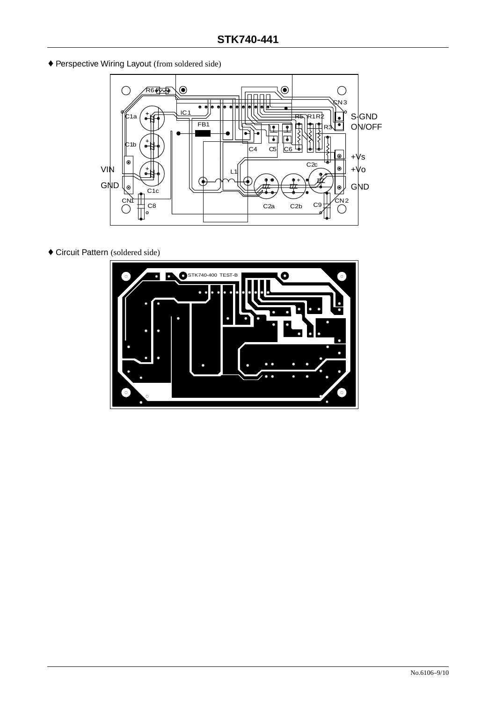♦ Perspective Wiring Layout (from soldered side)



♦ Circuit Pattern (soldered side)